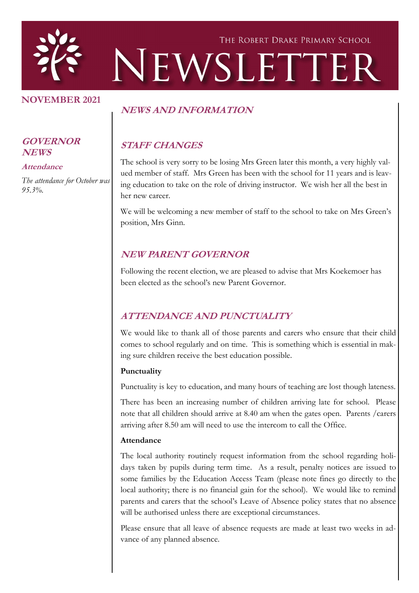

### **NOVEMBER 2021**

### **NEWS AND INFORMATION**

# **STAFF CHANGES**

The school is very sorry to be losing Mrs Green later this month, a very highly valued member of staff. Mrs Green has been with the school for 11 years and is leaving education to take on the role of driving instructor. We wish her all the best in her new career.

We will be welcoming a new member of staff to the school to take on Mrs Green's position, Mrs Ginn.

### **NEW PARENT GOVERNOR**

Following the recent election, we are pleased to advise that Mrs Koekemoer has been elected as the school's new Parent Governor.

### **ATTENDANCE AND PUNCTUALITY**

We would like to thank all of those parents and carers who ensure that their child comes to school regularly and on time. This is something which is essential in making sure children receive the best education possible.

### **Punctuality**

Punctuality is key to education, and many hours of teaching are lost though lateness.

There has been an increasing number of children arriving late for school. Please note that all children should arrive at 8.40 am when the gates open. Parents /carers arriving after 8.50 am will need to use the intercom to call the Office.

### **Attendance**

The local authority routinely request information from the school regarding holidays taken by pupils during term time. As a result, penalty notices are issued to some families by the Education Access Team (please note fines go directly to the local authority; there is no financial gain for the school). We would like to remind parents and carers that the school's Leave of Absence policy states that no absence will be authorised unless there are exceptional circumstances.

Please ensure that all leave of absence requests are made at least two weeks in advance of any planned absence.

#### **GOVERNOR NEWS**

**Attendance**

*The attendance for October was 95.3%.*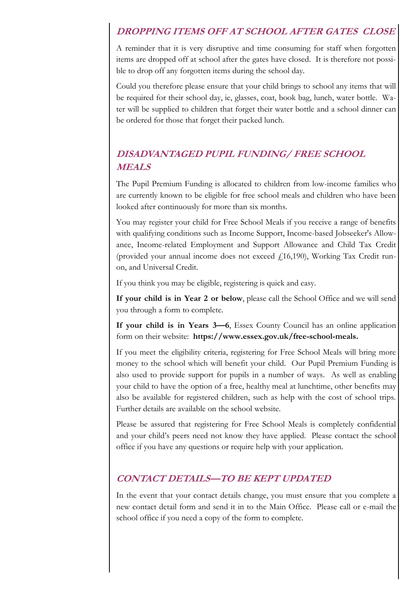## **DROPPING ITEMS OFF AT SCHOOL AFTER GATES CLOSE**

A reminder that it is very disruptive and time consuming for staff when forgotten items are dropped off at school after the gates have closed. It is therefore not possible to drop off any forgotten items during the school day.

Could you therefore please ensure that your child brings to school any items that will be required for their school day, ie, glasses, coat, book bag, lunch, water bottle. Water will be supplied to children that forget their water bottle and a school dinner can be ordered for those that forget their packed lunch.

# **DISADVANTAGED PUPIL FUNDING/ FREE SCHOOL MEALS**

The Pupil Premium Funding is allocated to children from low-income families who are currently known to be eligible for free school meals and children who have been looked after continuously for more than six months.

You may register your child for Free School Meals if you receive a range of benefits with qualifying conditions such as Income Support, Income-based Jobseeker's Allowance, Income-related Employment and Support Allowance and Child Tax Credit (provided your annual income does not exceed  $f(16,190)$ , Working Tax Credit runon, and Universal Credit.

If you think you may be eligible, registering is quick and easy.

**If your child is in Year 2 or below**, please call the School Office and we will send you through a form to complete.

**If your child is in Years 3—6**, Essex County Council has an online application form on their website: **https://www.essex.gov.uk/free-school-meals.**

If you meet the eligibility criteria, registering for Free School Meals will bring more money to the school which will benefit your child. Our Pupil Premium Funding is also used to provide support for pupils in a number of ways. As well as enabling your child to have the option of a free, healthy meal at lunchtime, other benefits may also be available for registered children, such as help with the cost of school trips. Further details are available on the school website.

Please be assured that registering for Free School Meals is completely confidential and your child's peers need not know they have applied. Please contact the school office if you have any questions or require help with your application.

### **CONTACT DETAILS—TO BE KEPT UPDATED**

In the event that your contact details change, you must ensure that you complete a new contact detail form and send it in to the Main Office. Please call or e-mail the school office if you need a copy of the form to complete.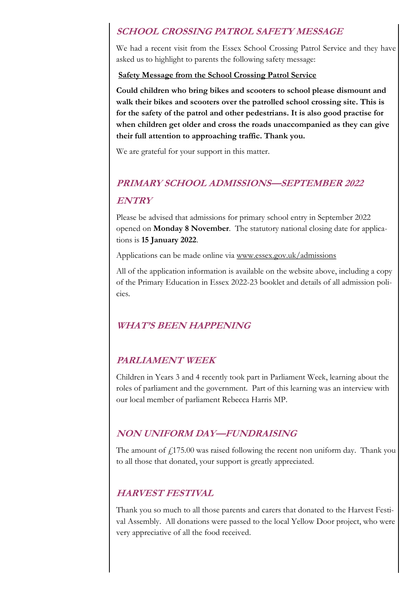### **SCHOOL CROSSING PATROL SAFETY MESSAGE**

We had a recent visit from the Essex School Crossing Patrol Service and they have asked us to highlight to parents the following safety message:

#### **Safety Message from the School Crossing Patrol Service**

**Could children who bring bikes and scooters to school please dismount and walk their bikes and scooters over the patrolled school crossing site. This is for the safety of the patrol and other pedestrians. It is also good practise for when children get older and cross the roads unaccompanied as they can give their full attention to approaching traffic. Thank you.** 

We are grateful for your support in this matter.

# **PRIMARY SCHOOL ADMISSIONS—SEPTEMBER 2022 ENTRY**

Please be advised that admissions for primary school entry in September 2022 opened on **Monday 8 November**. The statutory national closing date for applications is **15 January 2022**.

Applications can be made online via [www.essex.gov.uk/admissions](https://eur02.safelinks.protection.outlook.com/?url=http%3A%2F%2Fwww.essex.gov.uk%2Fadmissions&data=04%7C01%7C%7C102dbe912bef40eb1c7d08d99ab964be%7Ca8b4324f155c4215a0f17ed8cc9a992f%7C0%7C0%7C637710943303713213%7CUnknown%7CTWFpbGZsb3d8eyJWIjoiMC4wLjAwMDAiLCJQI)

All of the application information is available on the website above, including a copy of the Primary Education in Essex 2022-23 booklet and details of all admission policies.

### **WHAT'S BEEN HAPPENING**

### **PARLIAMENT WEEK**

Children in Years 3 and 4 recently took part in Parliament Week, learning about the roles of parliament and the government. Part of this learning was an interview with our local member of parliament Rebecca Harris MP.

### **NON UNIFORM DAY—FUNDRAISING**

The amount of  $f_{175.00}$  was raised following the recent non uniform day. Thank you to all those that donated, your support is greatly appreciated.

### **HARVEST FESTIVAL**

Thank you so much to all those parents and carers that donated to the Harvest Festival Assembly. All donations were passed to the local Yellow Door project, who were very appreciative of all the food received.